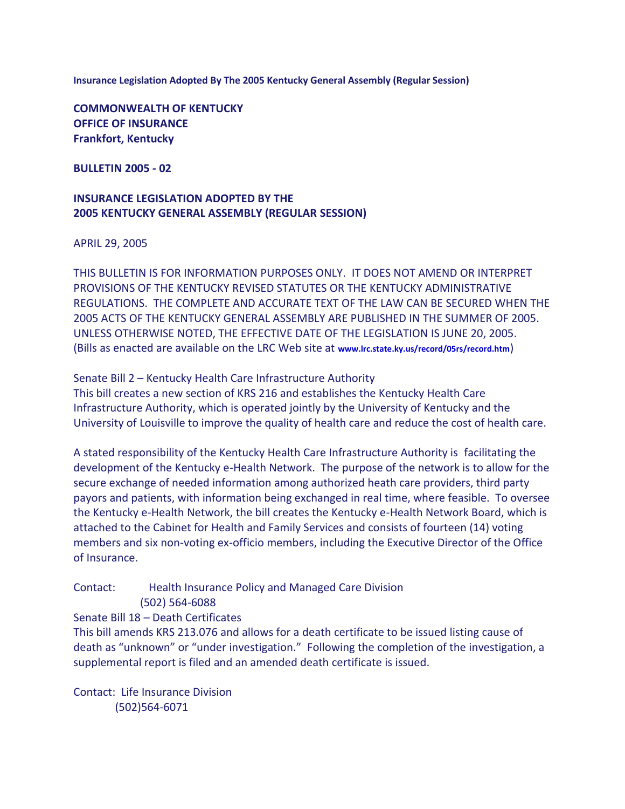**Insurance Legislation Adopted By The 2005 Kentucky General Assembly (Regular Session)**

**COMMONWEALTH OF KENTUCKY OFFICE OF INSURANCE Frankfort, Kentucky**

**BULLETIN 2005 - 02**

# **INSURANCE LEGISLATION ADOPTED BY THE 2005 KENTUCKY GENERAL ASSEMBLY (REGULAR SESSION)**

APRIL 29, 2005

THIS BULLETIN IS FOR INFORMATION PURPOSES ONLY. IT DOES NOT AMEND OR INTERPRET PROVISIONS OF THE KENTUCKY REVISED STATUTES OR THE KENTUCKY ADMINISTRATIVE REGULATIONS. THE COMPLETE AND ACCURATE TEXT OF THE LAW CAN BE SECURED WHEN THE 2005 ACTS OF THE KENTUCKY GENERAL ASSEMBLY ARE PUBLISHED IN THE SUMMER OF 2005. UNLESS OTHERWISE NOTED, THE EFFECTIVE DATE OF THE LEGISLATION IS JUNE 20, 2005. (Bills as enacted are available on the LRC Web site at **[www.lrc.state.ky.us/record/05rs/record.htm](http://www.lrc.state.ky.us/record/05rs/record.htm)**)

Senate Bill 2 – Kentucky Health Care Infrastructure Authority

This bill creates a new section of KRS 216 and establishes the Kentucky Health Care Infrastructure Authority, which is operated jointly by the University of Kentucky and the University of Louisville to improve the quality of health care and reduce the cost of health care.

A stated responsibility of the Kentucky Health Care Infrastructure Authority is facilitating the development of the Kentucky e-Health Network. The purpose of the network is to allow for the secure exchange of needed information among authorized heath care providers, third party payors and patients, with information being exchanged in real time, where feasible. To oversee the Kentucky e-Health Network, the bill creates the Kentucky e-Health Network Board, which is attached to the Cabinet for Health and Family Services and consists of fourteen (14) voting members and six non-voting ex-officio members, including the Executive Director of the Office of Insurance.

Contact: Health Insurance Policy and Managed Care Division

(502) 564-6088

Senate Bill 18 – Death Certificates

This bill amends KRS 213.076 and allows for a death certificate to be issued listing cause of death as "unknown" or "under investigation." Following the completion of the investigation, a supplemental report is filed and an amended death certificate is issued.

Contact: Life Insurance Division (502)564-6071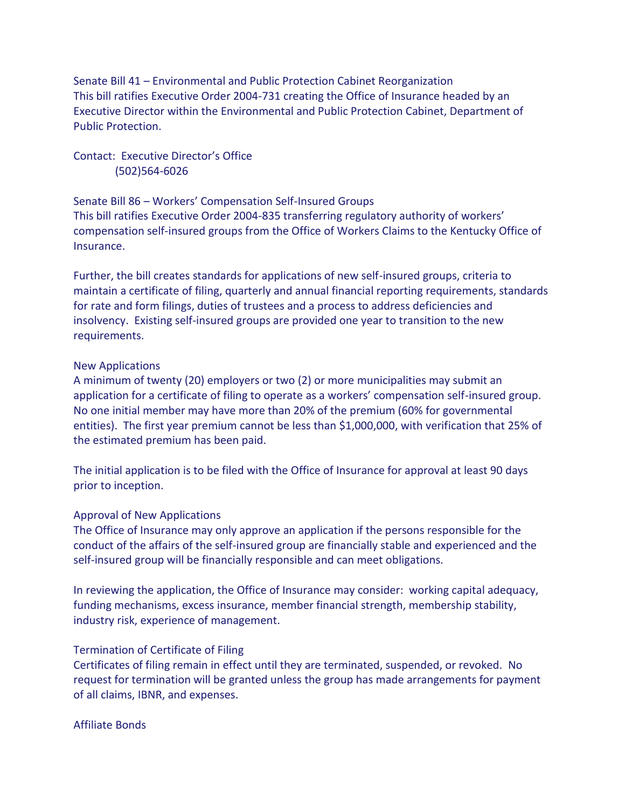Senate Bill 41 – Environmental and Public Protection Cabinet Reorganization This bill ratifies Executive Order 2004-731 creating the Office of Insurance headed by an Executive Director within the Environmental and Public Protection Cabinet, Department of Public Protection.

Contact: Executive Director's Office (502)564-6026

Senate Bill 86 – Workers' Compensation Self-Insured Groups This bill ratifies Executive Order 2004-835 transferring regulatory authority of workers' compensation self-insured groups from the Office of Workers Claims to the Kentucky Office of Insurance.

Further, the bill creates standards for applications of new self-insured groups, criteria to maintain a certificate of filing, quarterly and annual financial reporting requirements, standards for rate and form filings, duties of trustees and a process to address deficiencies and insolvency. Existing self-insured groups are provided one year to transition to the new requirements.

### New Applications

A minimum of twenty (20) employers or two (2) or more municipalities may submit an application for a certificate of filing to operate as a workers' compensation self-insured group. No one initial member may have more than 20% of the premium (60% for governmental entities). The first year premium cannot be less than \$1,000,000, with verification that 25% of the estimated premium has been paid.

The initial application is to be filed with the Office of Insurance for approval at least 90 days prior to inception.

## Approval of New Applications

The Office of Insurance may only approve an application if the persons responsible for the conduct of the affairs of the self-insured group are financially stable and experienced and the self-insured group will be financially responsible and can meet obligations.

In reviewing the application, the Office of Insurance may consider: working capital adequacy, funding mechanisms, excess insurance, member financial strength, membership stability, industry risk, experience of management.

#### Termination of Certificate of Filing

Certificates of filing remain in effect until they are terminated, suspended, or revoked. No request for termination will be granted unless the group has made arrangements for payment of all claims, IBNR, and expenses.

# Affiliate Bonds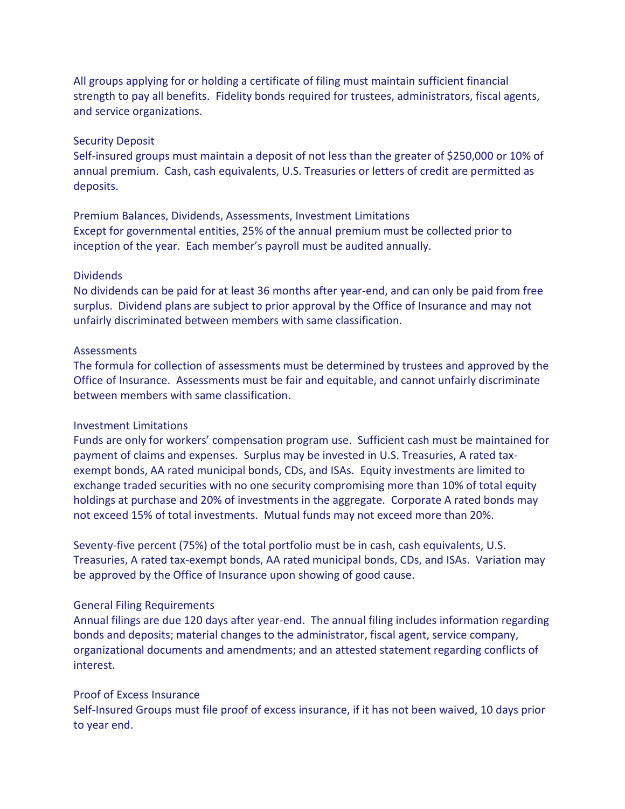All groups applying for or holding a certificate of filing must maintain sufficient financial strength to pay all benefits. Fidelity bonds required for trustees, administrators, fiscal agents, and service organizations.

# Security Deposit

Self-insured groups must maintain a deposit of not less than the greater of \$250,000 or 10% of annual premium. Cash, cash equivalents, U.S. Treasuries or letters of credit are permitted as deposits.

Premium Balances, Dividends, Assessments, Investment Limitations Except for governmental entities, 25% of the annual premium must be collected prior to inception of the year. Each member's payroll must be audited annually.

# **Dividends**

No dividends can be paid for at least 36 months after year-end, and can only be paid from free surplus. Dividend plans are subject to prior approval by the Office of Insurance and may not unfairly discriminated between members with same classification.

# **Assessments**

The formula for collection of assessments must be determined by trustees and approved by the Office of Insurance. Assessments must be fair and equitable, and cannot unfairly discriminate between members with same classification.

# Investment Limitations

Funds are only for workers' compensation program use. Sufficient cash must be maintained for payment of claims and expenses. Surplus may be invested in U.S. Treasuries, A rated taxexempt bonds, AA rated municipal bonds, CDs, and ISAs. Equity investments are limited to exchange traded securities with no one security compromising more than 10% of total equity holdings at purchase and 20% of investments in the aggregate. Corporate A rated bonds may not exceed 15% of total investments. Mutual funds may not exceed more than 20%.

Seventy-five percent (75%) of the total portfolio must be in cash, cash equivalents, U.S. Treasuries, A rated tax-exempt bonds, AA rated municipal bonds, CDs, and ISAs. Variation may be approved by the Office of Insurance upon showing of good cause.

# General Filing Requirements

Annual filings are due 120 days after year-end. The annual filing includes information regarding bonds and deposits; material changes to the administrator, fiscal agent, service company, organizational documents and amendments; and an attested statement regarding conflicts of interest.

## Proof of Excess Insurance

Self-Insured Groups must file proof of excess insurance, if it has not been waived, 10 days prior to year end.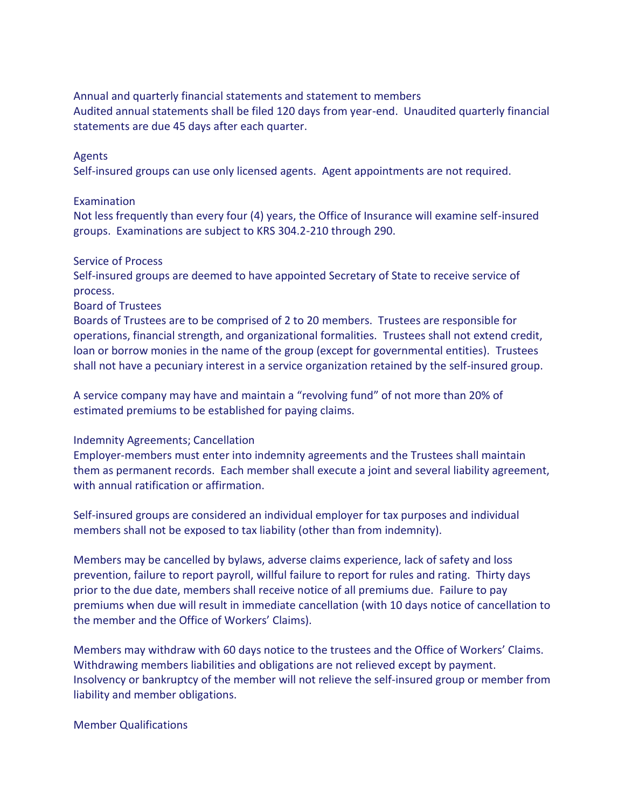Annual and quarterly financial statements and statement to members Audited annual statements shall be filed 120 days from year-end. Unaudited quarterly financial statements are due 45 days after each quarter.

## Agents

Self-insured groups can use only licensed agents. Agent appointments are not required.

## Examination

Not less frequently than every four (4) years, the Office of Insurance will examine self-insured groups. Examinations are subject to KRS 304.2-210 through 290.

### Service of Process

Self-insured groups are deemed to have appointed Secretary of State to receive service of process.

# Board of Trustees

Boards of Trustees are to be comprised of 2 to 20 members. Trustees are responsible for operations, financial strength, and organizational formalities. Trustees shall not extend credit, loan or borrow monies in the name of the group (except for governmental entities). Trustees shall not have a pecuniary interest in a service organization retained by the self-insured group.

A service company may have and maintain a "revolving fund" of not more than 20% of estimated premiums to be established for paying claims.

# Indemnity Agreements; Cancellation

Employer-members must enter into indemnity agreements and the Trustees shall maintain them as permanent records. Each member shall execute a joint and several liability agreement, with annual ratification or affirmation.

Self-insured groups are considered an individual employer for tax purposes and individual members shall not be exposed to tax liability (other than from indemnity).

Members may be cancelled by bylaws, adverse claims experience, lack of safety and loss prevention, failure to report payroll, willful failure to report for rules and rating. Thirty days prior to the due date, members shall receive notice of all premiums due. Failure to pay premiums when due will result in immediate cancellation (with 10 days notice of cancellation to the member and the Office of Workers' Claims).

Members may withdraw with 60 days notice to the trustees and the Office of Workers' Claims. Withdrawing members liabilities and obligations are not relieved except by payment. Insolvency or bankruptcy of the member will not relieve the self-insured group or member from liability and member obligations.

### Member Qualifications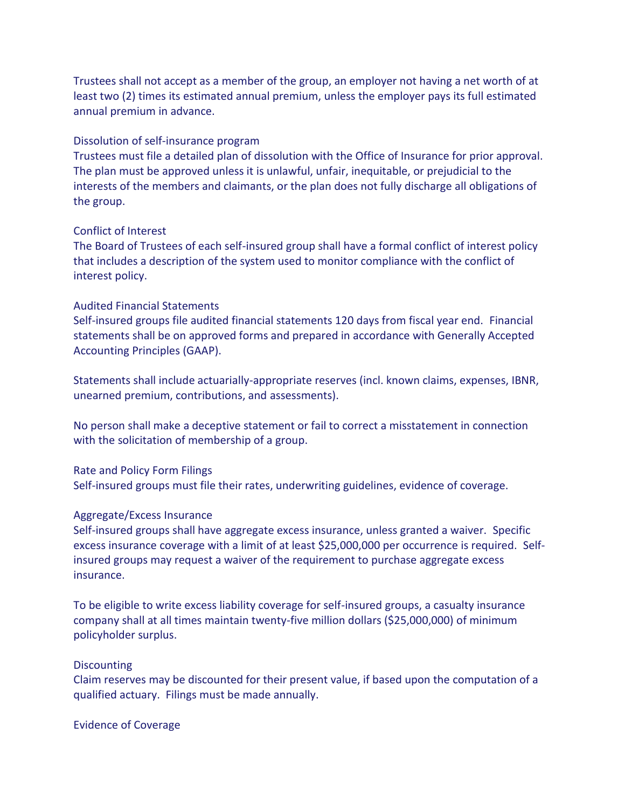Trustees shall not accept as a member of the group, an employer not having a net worth of at least two (2) times its estimated annual premium, unless the employer pays its full estimated annual premium in advance.

## Dissolution of self-insurance program

Trustees must file a detailed plan of dissolution with the Office of Insurance for prior approval. The plan must be approved unless it is unlawful, unfair, inequitable, or prejudicial to the interests of the members and claimants, or the plan does not fully discharge all obligations of the group.

### Conflict of Interest

The Board of Trustees of each self-insured group shall have a formal conflict of interest policy that includes a description of the system used to monitor compliance with the conflict of interest policy.

## Audited Financial Statements

Self-insured groups file audited financial statements 120 days from fiscal year end. Financial statements shall be on approved forms and prepared in accordance with Generally Accepted Accounting Principles (GAAP).

Statements shall include actuarially-appropriate reserves (incl. known claims, expenses, IBNR, unearned premium, contributions, and assessments).

No person shall make a deceptive statement or fail to correct a misstatement in connection with the solicitation of membership of a group.

#### Rate and Policy Form Filings

Self-insured groups must file their rates, underwriting guidelines, evidence of coverage.

#### Aggregate/Excess Insurance

Self-insured groups shall have aggregate excess insurance, unless granted a waiver. Specific excess insurance coverage with a limit of at least \$25,000,000 per occurrence is required. Selfinsured groups may request a waiver of the requirement to purchase aggregate excess insurance.

To be eligible to write excess liability coverage for self-insured groups, a casualty insurance company shall at all times maintain twenty-five million dollars (\$25,000,000) of minimum policyholder surplus.

#### **Discounting**

Claim reserves may be discounted for their present value, if based upon the computation of a qualified actuary. Filings must be made annually.

Evidence of Coverage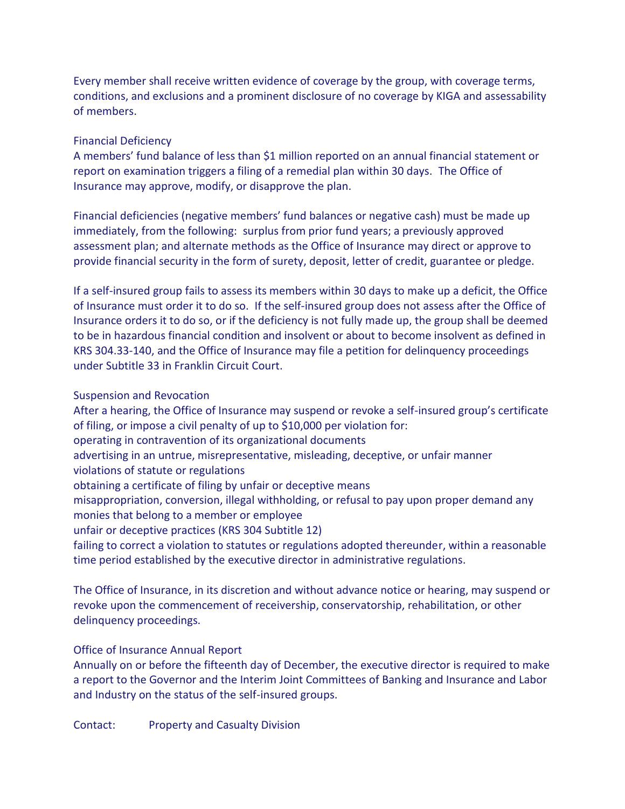Every member shall receive written evidence of coverage by the group, with coverage terms, conditions, and exclusions and a prominent disclosure of no coverage by KIGA and assessability of members.

# Financial Deficiency

A members' fund balance of less than \$1 million reported on an annual financial statement or report on examination triggers a filing of a remedial plan within 30 days. The Office of Insurance may approve, modify, or disapprove the plan.

Financial deficiencies (negative members' fund balances or negative cash) must be made up immediately, from the following: surplus from prior fund years; a previously approved assessment plan; and alternate methods as the Office of Insurance may direct or approve to provide financial security in the form of surety, deposit, letter of credit, guarantee or pledge.

If a self-insured group fails to assess its members within 30 days to make up a deficit, the Office of Insurance must order it to do so. If the self-insured group does not assess after the Office of Insurance orders it to do so, or if the deficiency is not fully made up, the group shall be deemed to be in hazardous financial condition and insolvent or about to become insolvent as defined in KRS 304.33-140, and the Office of Insurance may file a petition for delinquency proceedings under Subtitle 33 in Franklin Circuit Court.

# Suspension and Revocation

After a hearing, the Office of Insurance may suspend or revoke a self-insured group's certificate of filing, or impose a civil penalty of up to \$10,000 per violation for: operating in contravention of its organizational documents advertising in an untrue, misrepresentative, misleading, deceptive, or unfair manner violations of statute or regulations obtaining a certificate of filing by unfair or deceptive means misappropriation, conversion, illegal withholding, or refusal to pay upon proper demand any monies that belong to a member or employee unfair or deceptive practices (KRS 304 Subtitle 12) failing to correct a violation to statutes or regulations adopted thereunder, within a reasonable time period established by the executive director in administrative regulations.

The Office of Insurance, in its discretion and without advance notice or hearing, may suspend or revoke upon the commencement of receivership, conservatorship, rehabilitation, or other delinquency proceedings.

# Office of Insurance Annual Report

Annually on or before the fifteenth day of December, the executive director is required to make a report to the Governor and the Interim Joint Committees of Banking and Insurance and Labor and Industry on the status of the self-insured groups.

Contact: Property and Casualty Division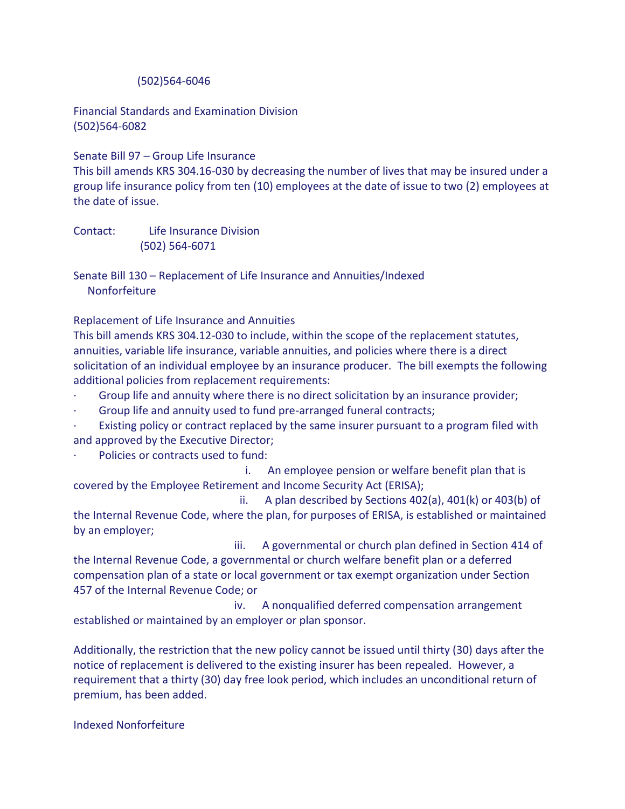# (502)564-6046

Financial Standards and Examination Division (502)564-6082

Senate Bill 97 – Group Life Insurance

This bill amends KRS 304.16-030 by decreasing the number of lives that may be insured under a group life insurance policy from ten (10) employees at the date of issue to two (2) employees at the date of issue.

Contact: Life Insurance Division (502) 564-6071

Senate Bill 130 – Replacement of Life Insurance and Annuities/Indexed Nonforfeiture

Replacement of Life Insurance and Annuities

This bill amends KRS 304.12-030 to include, within the scope of the replacement statutes, annuities, variable life insurance, variable annuities, and policies where there is a direct solicitation of an individual employee by an insurance producer. The bill exempts the following additional policies from replacement requirements:

- · Group life and annuity where there is no direct solicitation by an insurance provider;
- Group life and annuity used to fund pre-arranged funeral contracts;
- Existing policy or contract replaced by the same insurer pursuant to a program filed with and approved by the Executive Director;
- Policies or contracts used to fund:

 i. An employee pension or welfare benefit plan that is covered by the Employee Retirement and Income Security Act (ERISA);

 ii. A plan described by Sections 402(a), 401(k) or 403(b) of the Internal Revenue Code, where the plan, for purposes of ERISA, is established or maintained by an employer;

 iii. A governmental or church plan defined in Section 414 of the Internal Revenue Code, a governmental or church welfare benefit plan or a deferred compensation plan of a state or local government or tax exempt organization under Section 457 of the Internal Revenue Code; or

 iv. A nonqualified deferred compensation arrangement established or maintained by an employer or plan sponsor.

Additionally, the restriction that the new policy cannot be issued until thirty (30) days after the notice of replacement is delivered to the existing insurer has been repealed. However, a requirement that a thirty (30) day free look period, which includes an unconditional return of premium, has been added.

Indexed Nonforfeiture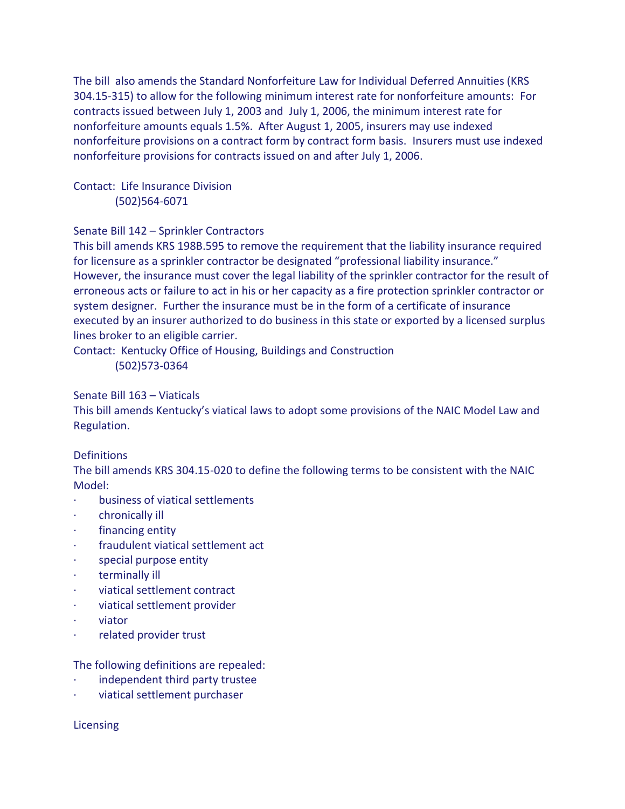The bill also amends the Standard Nonforfeiture Law for Individual Deferred Annuities (KRS 304.15-315) to allow for the following minimum interest rate for nonforfeiture amounts: For contracts issued between July 1, 2003 and July 1, 2006, the minimum interest rate for nonforfeiture amounts equals 1.5%. After August 1, 2005, insurers may use indexed nonforfeiture provisions on a contract form by contract form basis. Insurers must use indexed nonforfeiture provisions for contracts issued on and after July 1, 2006.

Contact: Life Insurance Division (502)564-6071

# Senate Bill 142 – Sprinkler Contractors

This bill amends KRS 198B.595 to remove the requirement that the liability insurance required for licensure as a sprinkler contractor be designated "professional liability insurance." However, the insurance must cover the legal liability of the sprinkler contractor for the result of erroneous acts or failure to act in his or her capacity as a fire protection sprinkler contractor or system designer. Further the insurance must be in the form of a certificate of insurance executed by an insurer authorized to do business in this state or exported by a licensed surplus lines broker to an eligible carrier.

Contact: Kentucky Office of Housing, Buildings and Construction (502)573-0364

# Senate Bill 163 – Viaticals

This bill amends Kentucky's viatical laws to adopt some provisions of the NAIC Model Law and Regulation.

# **Definitions**

The bill amends KRS 304.15-020 to define the following terms to be consistent with the NAIC Model:

- business of viatical settlements
- chronically ill
- financing entity
- fraudulent viatical settlement act
- special purpose entity
- terminally ill
- · viatical settlement contract
- · viatical settlement provider
- · viator
- related provider trust

# The following definitions are repealed:

- independent third party trustee
- · viatical settlement purchaser

# **Licensing**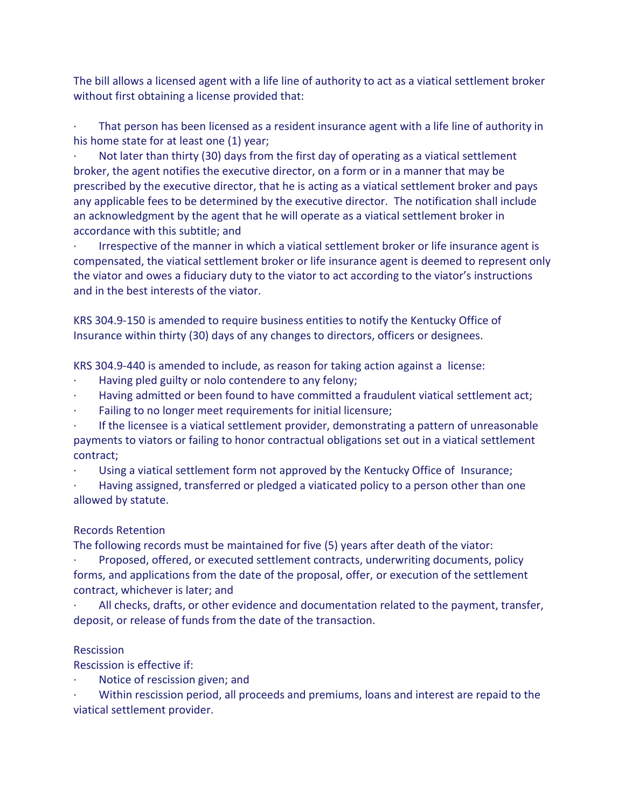The bill allows a licensed agent with a life line of authority to act as a viatical settlement broker without first obtaining a license provided that:

That person has been licensed as a resident insurance agent with a life line of authority in his home state for at least one (1) year;

Not later than thirty (30) days from the first day of operating as a viatical settlement broker, the agent notifies the executive director, on a form or in a manner that may be prescribed by the executive director, that he is acting as a viatical settlement broker and pays any applicable fees to be determined by the executive director. The notification shall include an acknowledgment by the agent that he will operate as a viatical settlement broker in accordance with this subtitle; and

· Irrespective of the manner in which a viatical settlement broker or life insurance agent is compensated, the viatical settlement broker or life insurance agent is deemed to represent only the viator and owes a fiduciary duty to the viator to act according to the viator's instructions and in the best interests of the viator.

KRS 304.9-150 is amended to require business entities to notify the Kentucky Office of Insurance within thirty (30) days of any changes to directors, officers or designees.

KRS 304.9-440 is amended to include, as reason for taking action against a license:

- Having pled guilty or nolo contendere to any felony;
- · Having admitted or been found to have committed a fraudulent viatical settlement act;
- Failing to no longer meet requirements for initial licensure;

· If the licensee is a viatical settlement provider, demonstrating a pattern of unreasonable payments to viators or failing to honor contractual obligations set out in a viatical settlement contract;

Using a viatical settlement form not approved by the Kentucky Office of Insurance;

Having assigned, transferred or pledged a viaticated policy to a person other than one allowed by statute.

# Records Retention

The following records must be maintained for five (5) years after death of the viator:

· Proposed, offered, or executed settlement contracts, underwriting documents, policy forms, and applications from the date of the proposal, offer, or execution of the settlement contract, whichever is later; and

· All checks, drafts, or other evidence and documentation related to the payment, transfer, deposit, or release of funds from the date of the transaction.

# **Rescission**

Rescission is effective if:

Notice of rescission given; and

· Within rescission period, all proceeds and premiums, loans and interest are repaid to the viatical settlement provider.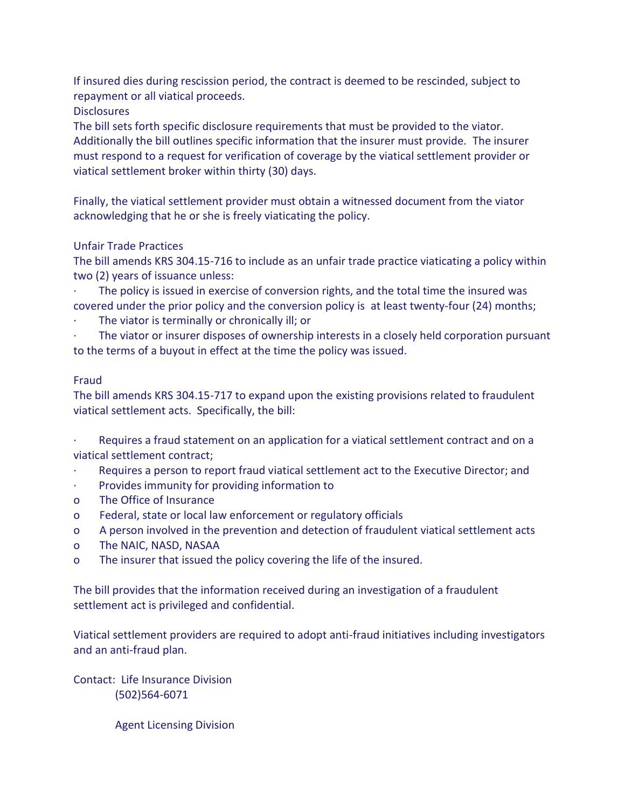If insured dies during rescission period, the contract is deemed to be rescinded, subject to repayment or all viatical proceeds.

**Disclosures** 

The bill sets forth specific disclosure requirements that must be provided to the viator. Additionally the bill outlines specific information that the insurer must provide. The insurer must respond to a request for verification of coverage by the viatical settlement provider or viatical settlement broker within thirty (30) days.

Finally, the viatical settlement provider must obtain a witnessed document from the viator acknowledging that he or she is freely viaticating the policy.

# Unfair Trade Practices

The bill amends KRS 304.15-716 to include as an unfair trade practice viaticating a policy within two (2) years of issuance unless:

The policy is issued in exercise of conversion rights, and the total time the insured was covered under the prior policy and the conversion policy is at least twenty-four (24) months;

The viator is terminally or chronically ill; or

The viator or insurer disposes of ownership interests in a closely held corporation pursuant to the terms of a buyout in effect at the time the policy was issued.

# Fraud

The bill amends KRS 304.15-717 to expand upon the existing provisions related to fraudulent viatical settlement acts. Specifically, the bill:

Requires a fraud statement on an application for a viatical settlement contract and on a viatical settlement contract;

- · Requires a person to report fraud viatical settlement act to the Executive Director; and
- Provides immunity for providing information to
- o The Office of Insurance
- o Federal, state or local law enforcement or regulatory officials
- o A person involved in the prevention and detection of fraudulent viatical settlement acts
- o The NAIC, NASD, NASAA
- o The insurer that issued the policy covering the life of the insured.

The bill provides that the information received during an investigation of a fraudulent settlement act is privileged and confidential.

Viatical settlement providers are required to adopt anti-fraud initiatives including investigators and an anti-fraud plan.

Contact: Life Insurance Division (502)564-6071

Agent Licensing Division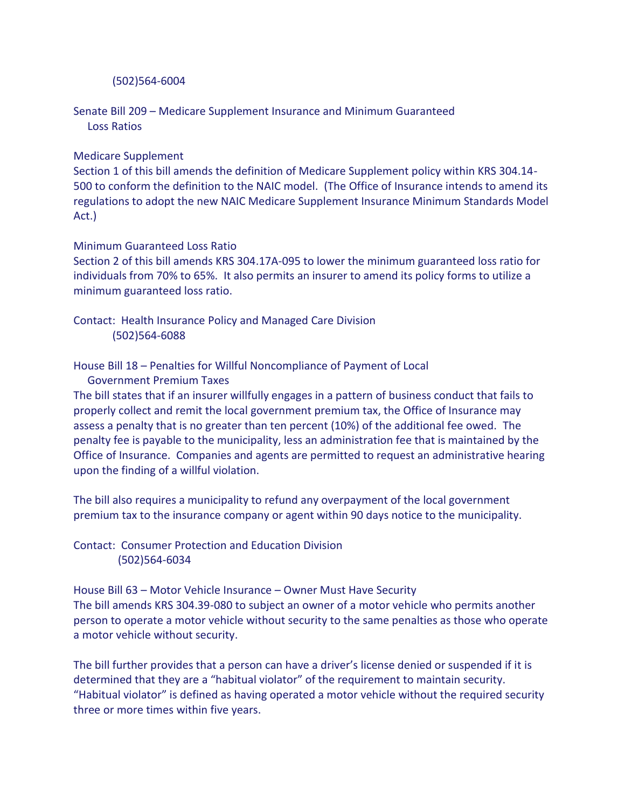## (502)564-6004

Senate Bill 209 – Medicare Supplement Insurance and Minimum Guaranteed Loss Ratios

## Medicare Supplement

Section 1 of this bill amends the definition of Medicare Supplement policy within KRS 304.14- 500 to conform the definition to the NAIC model. (The Office of Insurance intends to amend its regulations to adopt the new NAIC Medicare Supplement Insurance Minimum Standards Model Act.)

# Minimum Guaranteed Loss Ratio

Section 2 of this bill amends KRS 304.17A-095 to lower the minimum guaranteed loss ratio for individuals from 70% to 65%. It also permits an insurer to amend its policy forms to utilize a minimum guaranteed loss ratio.

Contact: Health Insurance Policy and Managed Care Division (502)564-6088

# House Bill 18 – Penalties for Willful Noncompliance of Payment of Local

Government Premium Taxes

The bill states that if an insurer willfully engages in a pattern of business conduct that fails to properly collect and remit the local government premium tax, the Office of Insurance may assess a penalty that is no greater than ten percent (10%) of the additional fee owed. The penalty fee is payable to the municipality, less an administration fee that is maintained by the Office of Insurance. Companies and agents are permitted to request an administrative hearing upon the finding of a willful violation.

The bill also requires a municipality to refund any overpayment of the local government premium tax to the insurance company or agent within 90 days notice to the municipality.

Contact: Consumer Protection and Education Division (502)564-6034

House Bill 63 – Motor Vehicle Insurance – Owner Must Have Security The bill amends KRS 304.39-080 to subject an owner of a motor vehicle who permits another person to operate a motor vehicle without security to the same penalties as those who operate a motor vehicle without security.

The bill further provides that a person can have a driver's license denied or suspended if it is determined that they are a "habitual violator" of the requirement to maintain security. "Habitual violator" is defined as having operated a motor vehicle without the required security three or more times within five years.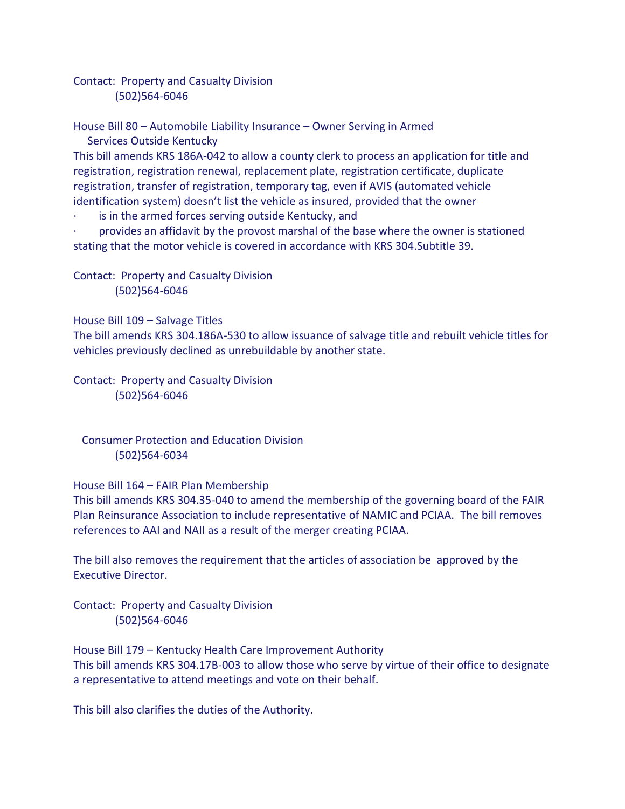Contact: Property and Casualty Division (502)564-6046

House Bill 80 – Automobile Liability Insurance – Owner Serving in Armed Services Outside Kentucky

This bill amends KRS 186A-042 to allow a county clerk to process an application for title and registration, registration renewal, replacement plate, registration certificate, duplicate registration, transfer of registration, temporary tag, even if AVIS (automated vehicle identification system) doesn't list the vehicle as insured, provided that the owner

is in the armed forces serving outside Kentucky, and

· provides an affidavit by the provost marshal of the base where the owner is stationed stating that the motor vehicle is covered in accordance with KRS 304.Subtitle 39.

Contact: Property and Casualty Division (502)564-6046

House Bill 109 – Salvage Titles

The bill amends KRS 304.186A-530 to allow issuance of salvage title and rebuilt vehicle titles for vehicles previously declined as unrebuildable by another state.

Contact: Property and Casualty Division (502)564-6046

 Consumer Protection and Education Division (502)564-6034

House Bill 164 – FAIR Plan Membership

This bill amends KRS 304.35-040 to amend the membership of the governing board of the FAIR Plan Reinsurance Association to include representative of NAMIC and PCIAA. The bill removes references to AAI and NAII as a result of the merger creating PCIAA.

The bill also removes the requirement that the articles of association be approved by the Executive Director.

Contact: Property and Casualty Division (502)564-6046

House Bill 179 – Kentucky Health Care Improvement Authority This bill amends KRS 304.17B-003 to allow those who serve by virtue of their office to designate a representative to attend meetings and vote on their behalf.

This bill also clarifies the duties of the Authority.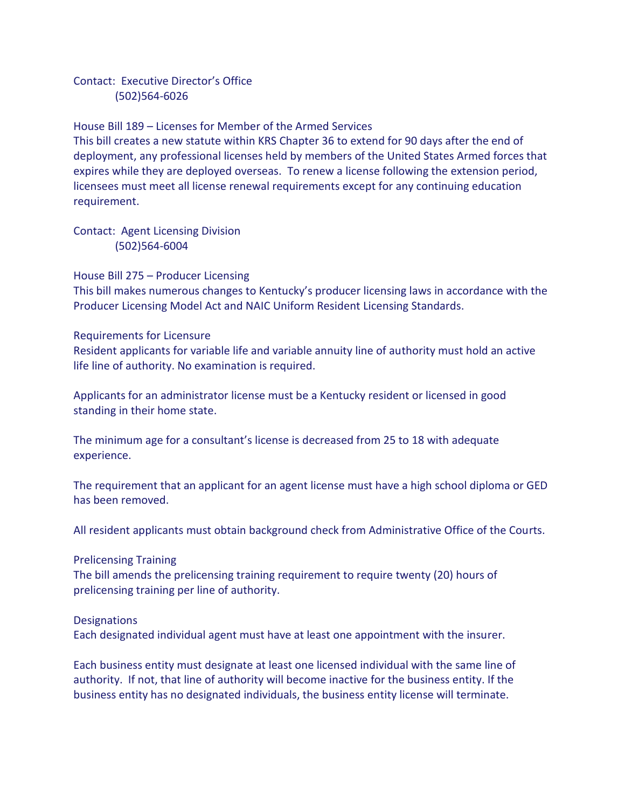Contact: Executive Director's Office (502)564-6026

House Bill 189 – Licenses for Member of the Armed Services This bill creates a new statute within KRS Chapter 36 to extend for 90 days after the end of deployment, any professional licenses held by members of the United States Armed forces that expires while they are deployed overseas. To renew a license following the extension period, licensees must meet all license renewal requirements except for any continuing education requirement.

Contact: Agent Licensing Division (502)564-6004

House Bill 275 – Producer Licensing

This bill makes numerous changes to Kentucky's producer licensing laws in accordance with the Producer Licensing Model Act and NAIC Uniform Resident Licensing Standards.

# Requirements for Licensure

Resident applicants for variable life and variable annuity line of authority must hold an active life line of authority. No examination is required.

Applicants for an administrator license must be a Kentucky resident or licensed in good standing in their home state.

The minimum age for a consultant's license is decreased from 25 to 18 with adequate experience.

The requirement that an applicant for an agent license must have a high school diploma or GED has been removed.

All resident applicants must obtain background check from Administrative Office of the Courts.

# Prelicensing Training

The bill amends the prelicensing training requirement to require twenty (20) hours of prelicensing training per line of authority.

# **Designations**

Each designated individual agent must have at least one appointment with the insurer.

Each business entity must designate at least one licensed individual with the same line of authority. If not, that line of authority will become inactive for the business entity. If the business entity has no designated individuals, the business entity license will terminate.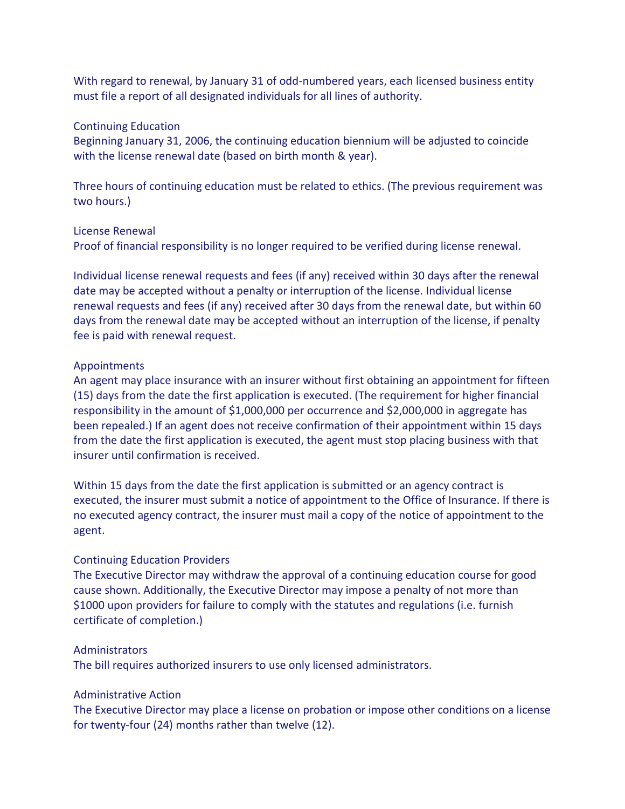With regard to renewal, by January 31 of odd-numbered years, each licensed business entity must file a report of all designated individuals for all lines of authority.

#### Continuing Education

Beginning January 31, 2006, the continuing education biennium will be adjusted to coincide with the license renewal date (based on birth month & year).

Three hours of continuing education must be related to ethics. (The previous requirement was two hours.)

### License Renewal

Proof of financial responsibility is no longer required to be verified during license renewal.

Individual license renewal requests and fees (if any) received within 30 days after the renewal date may be accepted without a penalty or interruption of the license. Individual license renewal requests and fees (if any) received after 30 days from the renewal date, but within 60 days from the renewal date may be accepted without an interruption of the license, if penalty fee is paid with renewal request.

### Appointments

An agent may place insurance with an insurer without first obtaining an appointment for fifteen (15) days from the date the first application is executed. (The requirement for higher financial responsibility in the amount of \$1,000,000 per occurrence and \$2,000,000 in aggregate has been repealed.) If an agent does not receive confirmation of their appointment within 15 days from the date the first application is executed, the agent must stop placing business with that insurer until confirmation is received.

Within 15 days from the date the first application is submitted or an agency contract is executed, the insurer must submit a notice of appointment to the Office of Insurance. If there is no executed agency contract, the insurer must mail a copy of the notice of appointment to the agent.

### Continuing Education Providers

The Executive Director may withdraw the approval of a continuing education course for good cause shown. Additionally, the Executive Director may impose a penalty of not more than \$1000 upon providers for failure to comply with the statutes and regulations (i.e. furnish certificate of completion.)

### Administrators

The bill requires authorized insurers to use only licensed administrators.

## Administrative Action

The Executive Director may place a license on probation or impose other conditions on a license for twenty-four (24) months rather than twelve (12).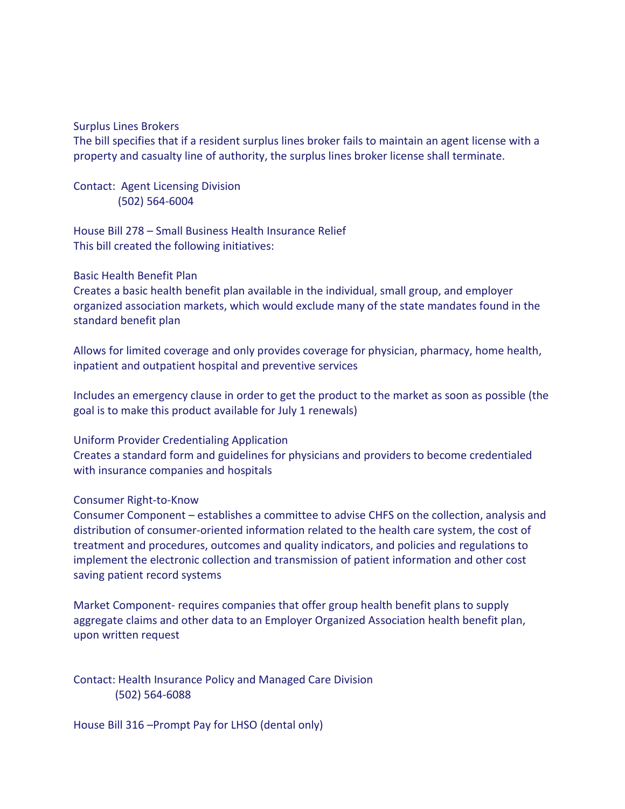#### Surplus Lines Brokers

The bill specifies that if a resident surplus lines broker fails to maintain an agent license with a property and casualty line of authority, the surplus lines broker license shall terminate.

Contact: Agent Licensing Division (502) 564-6004

House Bill 278 – Small Business Health Insurance Relief This bill created the following initiatives:

## Basic Health Benefit Plan

Creates a basic health benefit plan available in the individual, small group, and employer organized association markets, which would exclude many of the state mandates found in the standard benefit plan

Allows for limited coverage and only provides coverage for physician, pharmacy, home health, inpatient and outpatient hospital and preventive services

Includes an emergency clause in order to get the product to the market as soon as possible (the goal is to make this product available for July 1 renewals)

#### Uniform Provider Credentialing Application

Creates a standard form and guidelines for physicians and providers to become credentialed with insurance companies and hospitals

### Consumer Right-to-Know

Consumer Component – establishes a committee to advise CHFS on the collection, analysis and distribution of consumer-oriented information related to the health care system, the cost of treatment and procedures, outcomes and quality indicators, and policies and regulations to implement the electronic collection and transmission of patient information and other cost saving patient record systems

Market Component- requires companies that offer group health benefit plans to supply aggregate claims and other data to an Employer Organized Association health benefit plan, upon written request

Contact: Health Insurance Policy and Managed Care Division (502) 564-6088

House Bill 316 –Prompt Pay for LHSO (dental only)